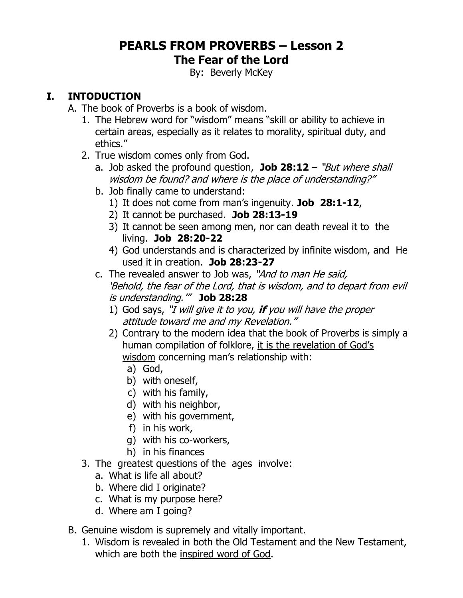## **PEARLS FROM PROVERBS – Lesson 2 The Fear of the Lord**

By: Beverly McKey

# **I. INTODUCTION**

- A. The book of Proverbs is a book of wisdom.
	- 1. The Hebrew word for "wisdom" means "skill or ability to achieve in certain areas, especially as it relates to morality, spiritual duty, and ethics."
	- 2. True wisdom comes only from God.
		- a. Job asked the profound question, **Job 28:12** "But where shall wisdom be found? and where is the place of understanding?"
		- b. Job finally came to understand:
			- 1) It does not come from man's ingenuity. **Job 28:1-12**,
			- 2) It cannot be purchased. **Job 28:13-19**
			- 3) It cannot be seen among men, nor can death reveal it to the living. **Job 28:20-22**
			- 4) God understands and is characterized by infinite wisdom, and He used it in creation. **Job 28:23-27**
		- c. The revealed answer to Job was, "And to man He said, 'Behold, the fear of the Lord, that is wisdom, and to depart from evil is understanding.'" **Job 28:28**
			- 1) God says, "I will give it to you, **if** you will have the proper attitude toward me and my Revelation."
			- 2) Contrary to the modern idea that the book of Proverbs is simply a human compilation of folklore, it is the revelation of God's wisdom concerning man's relationship with:
				- a) God,
				- b) with oneself,
				- c) with his family,
				- d) with his neighbor,
				- e) with his government,
				- f) in his work,
				- g) with his co-workers,
				- h) in his finances
	- 3. The greatest questions of the ages involve:
		- a. What is life all about?
		- b. Where did I originate?
		- c. What is my purpose here?
		- d. Where am I going?
- B. Genuine wisdom is supremely and vitally important.
	- 1. Wisdom is revealed in both the Old Testament and the New Testament, which are both the inspired word of God.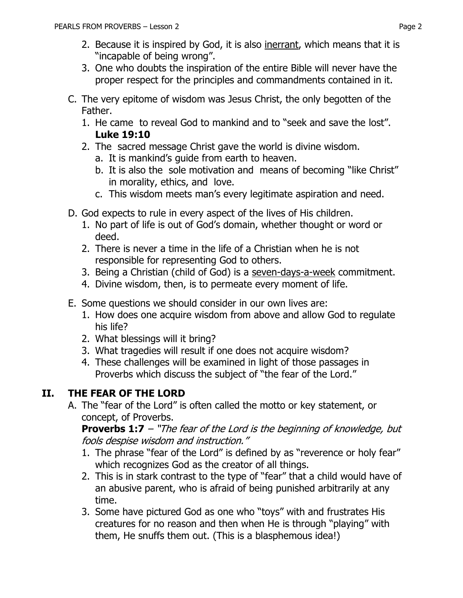- 2. Because it is inspired by God, it is also inerrant, which means that it is "incapable of being wrong".
- 3. One who doubts the inspiration of the entire Bible will never have the proper respect for the principles and commandments contained in it.
- C. The very epitome of wisdom was Jesus Christ, the only begotten of the Father.
	- 1. He came to reveal God to mankind and to "seek and save the lost". **Luke 19:10**
	- 2. The sacred message Christ gave the world is divine wisdom.
		- a. It is mankind's guide from earth to heaven.
		- b. It is also the sole motivation and means of becoming "like Christ" in morality, ethics, and love.
		- c. This wisdom meets man's every legitimate aspiration and need.
- D. God expects to rule in every aspect of the lives of His children.
	- 1. No part of life is out of God's domain, whether thought or word or deed.
	- 2. There is never a time in the life of a Christian when he is not responsible for representing God to others.
	- 3. Being a Christian (child of God) is a seven-days-a-week commitment.
	- 4. Divine wisdom, then, is to permeate every moment of life.
- E. Some questions we should consider in our own lives are:
	- 1. How does one acquire wisdom from above and allow God to regulate his life?
	- 2. What blessings will it bring?
	- 3. What tragedies will result if one does not acquire wisdom?
	- 4. These challenges will be examined in light of those passages in Proverbs which discuss the subject of "the fear of the Lord."

# **II. THE FEAR OF THE LORD**

A. The "fear of the Lord" is often called the motto or key statement, or concept, of Proverbs.

**[Proverbs 1:7](https://www.biblegateway.com/passage/?search=Proverbs+1%3A7&version=NKJV)** – "The fear of the Lord is the beginning of knowledge, but fools despise wisdom and instruction."

- 1. The phrase "fear of the Lord" is defined by as "reverence or holy fear" which recognizes God as the creator of all things.
- 2. This is in stark contrast to the type of "fear" that a child would have of an abusive parent, who is afraid of being punished arbitrarily at any time.
- 3. Some have pictured God as one who "toys" with and frustrates His creatures for no reason and then when He is through "playing" with them, He snuffs them out. (This is a blasphemous idea!)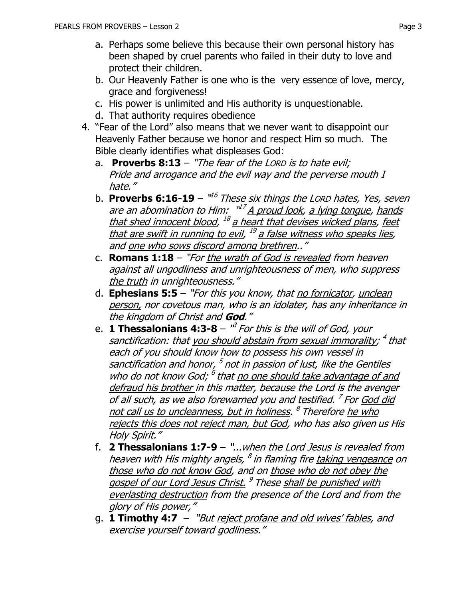- a. Perhaps some believe this because their own personal history has been shaped by cruel parents who failed in their duty to love and protect their children.
- b. Our Heavenly Father is one who is the very essence of love, mercy, grace and forgiveness!
- c. His power is unlimited and His authority is unquestionable.
- d. That authority requires obedience
- 4. "Fear of the Lord" also means that we never want to disappoint our Heavenly Father because we honor and respect Him so much. The Bible clearly identifies what displeases God:
	- a. **Proverbs 8:13** "The fear of the LORD is to hate evil; Pride and arrogance and the evil way and the perverse mouth I hate."
	- b. Proverbs 6:16-19 "<sup>16</sup> These six things the Lorp hates, Yes, seven are an abomination to Him:  $\sqrt[u]{A}$  proud look, a lying tongue, hands that shed innocent blood, <sup>18</sup> a heart that devises wicked plans, feet that are swift in running to evil, <sup>19</sup> a false witness who speaks lies, and one who sows discord among brethren.."
	- c. **Romans 1:18** "For the wrath of God is revealed from heaven against all ungodliness and unrighteousness of men, who suppress the truth in unrighteousness."
	- d. **[Ephesians 5:5](https://www.biblegateway.com/passage/?search=Ephesians+5:5&version=NKJV)** "For this you know, that no fornicator, unclean person, nor covetous man, who is an idolater, has any inheritance in the kingdom of Christ and **God**."
	- e. **1 Thessalonians 4:3-8** "<sup>3</sup> For this is the will of God, your sanctification: that <u>you should abstain from sexual immorality</u>; <sup>4</sup> that each of you should know how to possess his own vessel in sanctification and honor, <sup>5</sup> not in passion of lust, like the Gentiles who do not know God; <sup>6</sup> that no one should take advantage of and defraud his brother in this matter, because the Lord is the avenger of all such, as we also forewarned you and testified. <sup>7</sup> For God did <u>not call us to uncleanness, but in holiness</u>. <sup>8</sup> Therefore <u>he who</u> rejects this does not reject man, but God, who has also given us His Holy Spirit."
	- f. **2 Thessalonians 1:7-9** "...when the Lord Jesus is revealed from heaven with His mighty angels, <sup>8</sup> in flaming fire <u>taking vengeance</u> on those who do not know God, and on those who do not obey the gospel of our Lord Jesus Christ.<sup>9</sup> These shall be punished with everlasting destruction from the presence of the Lord and from the glory of His power,"
	- g. **[1 Timothy 4:7](https://www.biblegateway.com/passage/?search=1%20Timothy+4:7&version=NKJV)** "But reject profane and old wives' fables, and exercise yourself toward godliness."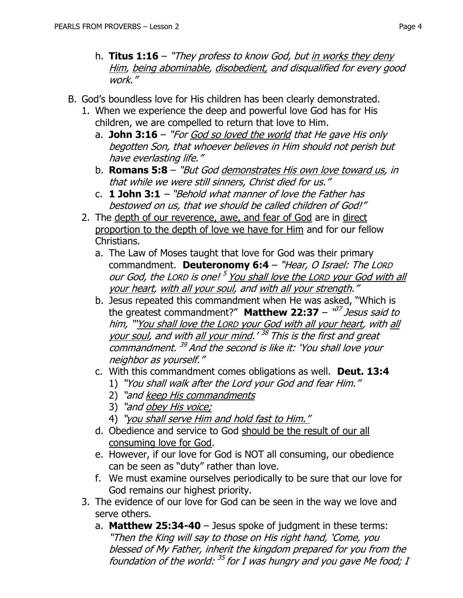- h. **[Titus 1:16](https://www.biblegateway.com/passage/?search=Titus+1:16&version=NKJV)** "They profess to know God, but in works they deny Him, being abominable, disobedient, and disqualified for every good work."
- B. God's boundless love for His children has been clearly demonstrated.
	- 1. When we experience the deep and powerful love God has for His children, we are compelled to return that love to Him.
		- a. **John 3:16** "For God so loved the world that He gave His only begotten Son, that whoever believes in Him should not perish but have everlasting life."
		- b. **[Romans 5:8](https://www.biblegateway.com/passage/?search=Romans+5:8&version=NKJV)** "But God demonstrates His own love toward us, in that while we were still sinners, Christ died for us."
		- c. **[1 John 3:1](https://www.biblegateway.com/passage/?search=1%20John+3:1&version=NKJV)** "Behold what manner of love the Father has bestowed on us, that we should be called children of God!"
	- 2. The depth of our reverence, awe, and fear of God are in direct proportion to the depth of love we have for Him and for our fellow Christians.
		- a. The Law of Moses taught that love for God was their primary commandment. **Deuteronomy 6:4** – "Hear, O Israel: The LORD our God, the Lorp is one! <sup>5</sup> You shall love the Lorp your God with all your heart, with all your soul, and with all your strength."
		- b. Jesus repeated this commandment when He was asked, "Which is the greatest commandment?" **Matthew 22:37** – "<sup>37</sup> Jesus said to him, "'You shall love the LORD your God with all your heart, with all your soul, and with all your mind.'<sup>38</sup> This is the first and great commandment.<sup>39</sup> And the second is like it: 'You shall love your neighbor as yourself."
		- c. With this commandment comes obligations as well. **Deut. 13:4**
			- 1) "You shall walk after the Lord your God and fear Him."
			- 2) "and keep His commandments
			- 3) "and obey His voice;
			- 4) "you shall serve Him and hold fast to Him."
		- d. Obedience and service to God should be the result of our all consuming love for God.
		- e. However, if our love for God is NOT all consuming, our obedience can be seen as "duty" rather than love.
		- f. We must examine ourselves periodically to be sure that our love for God remains our highest priority.
	- 3. The evidence of our love for God can be seen in the way we love and serve others.
		- a. **Matthew 25:34-40**  Jesus spoke of judgment in these terms: "Then the King will say to those on His right hand, 'Come, you blessed of My Father, inherit the kingdom prepared for you from the foundation of the world: <sup>35</sup> for I was hungry and you gave Me food; I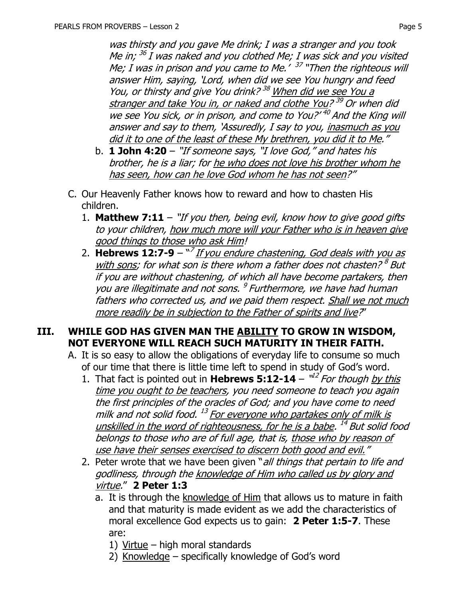was thirsty and you gave Me drink; I was a stranger and you took Me in; <sup>36</sup> I was naked and you clothed Me; I was sick and you visited Me; I was in prison and you came to Me.' <sup>37</sup> "Then the righteous will answer Him, saying, 'Lord, when did we see You hungry and feed You, or thirsty and give You drink?<sup>38</sup> When did we see You a <u>stranger and take You in, or naked and clothe You? 39</u> Or when did we see You sick, or in prison, and come to You?'<sup>40</sup> And the King will answer and say to them, 'Assuredly, I say to you, inasmuch as you did it to one of the least of these My brethren, you did it to Me."

- b. **[1 John 4:20](https://www.biblegateway.com/passage/?search=1%20John+4:20&version=NKJV)** "If someone says, "I love God," and hates his brother, he is a liar; for he who does not love his brother whom he has seen, how can he love God whom he has not seen?"
- C. Our Heavenly Father knows how to reward and how to chasten His children.
	- 1. **Matthew 7:11** "If you then, being evil, know how to give good gifts to your children, how much more will your Father who is in heaven give good things to those who ask Him!
	- 2. **Hebrews 12:7-9** "<sup>7</sup> If you endure chastening, God deals with you as <u>with sons</u>; for what son is there whom a father does not chasten? <sup>8</sup> But if you are without chastening, of which all have become partakers, then you are illegitimate and not sons. <sup>9</sup> Furthermore, we have had human fathers who corrected us, and we paid them respect. Shall we not much more readily be in subjection to the Father of spirits and live?"

#### **III. WHILE GOD HAS GIVEN MAN THE ABILITY TO GROW IN WISDOM, NOT EVERYONE WILL REACH SUCH MATURITY IN THEIR FAITH.**

- A. It is so easy to allow the obligations of everyday life to consume so much of our time that there is little time left to spend in study of God's word.
	- 1. That fact is pointed out in **Hebrews 5:12-14**  $^{\prime\prime2}$  *For though by this* time you ought to be teachers, you need someone to teach you again the first principles of the oracles of God; and you have come to need milk and not solid food. <sup>13</sup> <u>For everyone who partakes only of milk is</u> unskilled in the word of righteousness, for he is a babe. <sup>14</sup> But solid food belongs to those who are of full age, that is, those who by reason of use have their senses exercised to discern both good and evil."
	- 2. Peter wrote that we have been given "all things that pertain to life and godliness, through the knowledge of Him who called us by glory and virtue." **2 Peter 1:3**
		- a. It is through the knowledge of Him that allows us to mature in faith and that maturity is made evident as we add the characteristics of moral excellence God expects us to gain: **2 Peter 1:5-7**. These are:
			- 1) Virtue high moral standards
			- 2) Knowledge specifically knowledge of God's word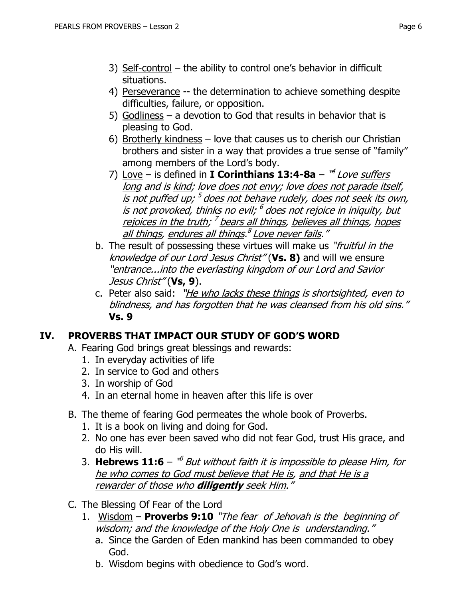- 3) Self-control the ability to control one's behavior in difficult situations.
- 4) Perseverance -- the determination to achieve something despite difficulties, failure, or opposition.
- 5) Godliness a devotion to God that results in behavior that is pleasing to God.
- 6) Brotherly kindness love that causes us to cherish our Christian brothers and sister in a way that provides a true sense of "family" among members of the Lord's body.
- 7) Love is defined in **I Corinthians 13:4-8a** "<sup>4</sup> Love suffers long and is kind; love does not envy; love does not parade itself, <u>is not puffed up; <sup>5</sup> does not behave rudely, does not seek its own</u>, is not provoked, thinks no evil; <sup>6</sup> does not rejoice in iniquity, but <u>rejoices in the truth; <sup>7</sup> bears all things, believes all things, hopes</u> <u>all things, endures all things.<sup>8</sup> Love never fails</u>."
- b. The result of possessing these virtues will make us "*fruitful in the* knowledge of our Lord Jesus Christ" (**Vs. 8)** and will we ensure "entrance...into the everlasting kingdom of our Lord and Savior Jesus Christ" (**Vs, 9**).
- c. Peter also said: "He who lacks these things is shortsighted, even to blindness, and has forgotten that he was cleansed from his old sins." **Vs. 9**

## **IV. PROVERBS THAT IMPACT OUR STUDY OF GOD'S WORD**

- A. Fearing God brings great blessings and rewards:
	- 1. In everyday activities of life
	- 2. In service to God and others
	- 3. In worship of God
	- 4. In an eternal home in heaven after this life is over
- B. The theme of fearing God permeates the whole book of Proverbs.
	- 1. It is a book on living and doing for God.
	- 2. No one has ever been saved who did not fear God, trust His grace, and do His will.
	- 3. Hebrews 11:6 "<sup>6</sup> But without faith it is impossible to please Him, for he who comes to God must believe that He is, and that He is a rewarder of those who **diligently** seek Him."
- C. The Blessing Of Fear of the Lord
	- 1. Wisdom **Proverbs 9:10** "The fear of Jehovah is the beginning of wisdom; and the knowledge of the Holy One is understanding."
		- a. Since the Garden of Eden mankind has been commanded to obey God.
		- b. Wisdom begins with obedience to God's word.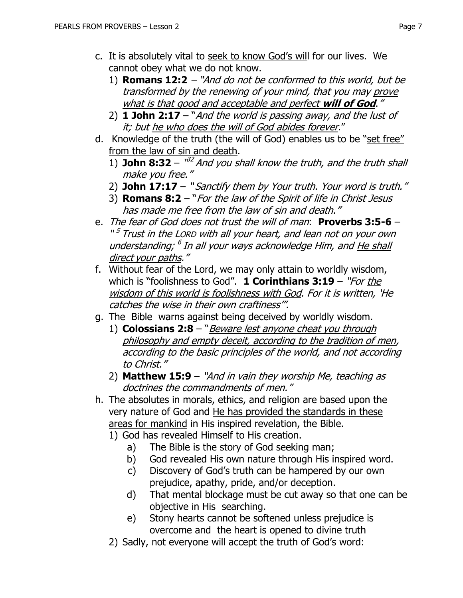- c. It is absolutely vital to seek to know God's will for our lives. We cannot obey what we do not know.
	- 1) **Romans 12:2** "And do not be conformed to this world, but be transformed by the renewing of your mind, that you may prove what is that good and acceptable and perfect **will of God**."
	- 2) **[1 John 2:17](https://www.biblegateway.com/passage/?search=1%20John+2:17&version=NKJV)** "And the world is passing away, and the lust of it; but he who does the will of God abides forever."
- d. Knowledge of the truth (the will of God) enables us to be "set free" from the law of sin and death.
	- 1) **John 8:32**  $^{\frac{1}{2}}$  And you shall know the truth, and the truth shall make you free."
	- 2) **John 17:17** " Sanctify them by Your truth. Your word is truth."
	- 3) **Romans 8:2** "For the law of the Spirit of life in Christ Jesus has made me free from the law of sin and death."
- e. The fear of God does not trust the will of man: **Proverbs 3:5-6** "<sup>5</sup> Trust in the Lorp with all your heart, and lean not on your own understanding; <sup>6</sup> In all your ways acknowledge Him, and <u>He shall</u> direct your paths."
- f. Without fear of the Lord, we may only attain to worldly wisdom, which is "foolishness to God". **[1 Corinthians 3:19](https://www.biblegateway.com/passage/?search=1%20Corinthians+3:19&version=NKJV)** – "For the wisdom of this world is foolishness with God. For it is written, 'He catches the wise in their own craftiness'".
- g. The Bible warns against being deceived by worldly wisdom.
	- 1) **Colossians 2:8** "Beware lest anyone cheat you through philosophy and empty deceit, according to the tradition of men, according to the basic principles of the world, and not according to Christ."
	- 2) **Matthew 15:9**  "And in vain they worship Me, teaching as doctrines the commandments of men."
- h. The absolutes in morals, ethics, and religion are based upon the very nature of God and He has provided the standards in these areas for mankind in His inspired revelation, the Bible.
	- 1) God has revealed Himself to His creation.
		- a) The Bible is the story of God seeking man;
		- b) God revealed His own nature through His inspired word.
		- c) Discovery of God's truth can be hampered by our own prejudice, apathy, pride, and/or deception.
		- d) That mental blockage must be cut away so that one can be objective in His searching.
		- e) Stony hearts cannot be softened unless prejudice is overcome and the heart is opened to divine truth
	- 2) Sadly, not everyone will accept the truth of God's word: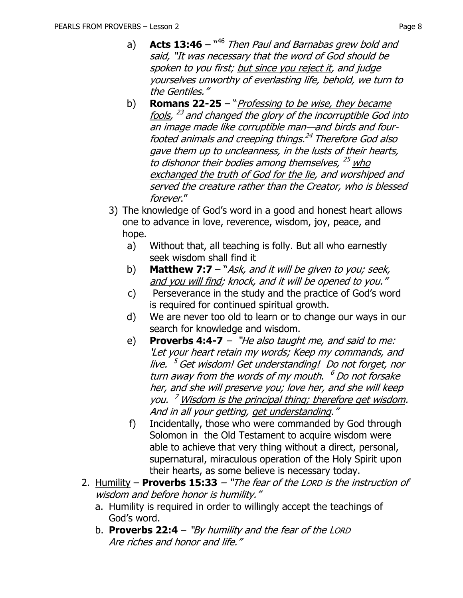- a) **Acts 13:46** <sup>446</sup> Then Paul and Barnabas grew bold and said, "It was necessary that the word of God should be spoken to you first; but since you reject it, and judge yourselves unworthy of everlasting life, behold, we turn to the Gentiles."
- b) **Romans 22-25** "Professing to be wise, they became fools, <sup>23</sup> and changed the glory of the incorruptible God into an image made like corruptible man—and birds and fourfooted animals and creeping things. 24 Therefore God also gave them up to uncleanness, in the lusts of their hearts, to dishonor their bodies among themselves, <sup>25</sup> who exchanged the truth of God for the lie, and worshiped and served the creature rather than the Creator, who is blessed forever."
- 3) The knowledge of God's word in a good and honest heart allows one to advance in love, reverence, wisdom, joy, peace, and hope.
	- a) Without that, all teaching is folly. But all who earnestly seek wisdom shall find it
	- b) **Matthew 7:7** "Ask, and it will be given to you; seek, and you will find; knock, and it will be opened to you."
	- c) Perseverance in the study and the practice of God's word is required for continued spiritual growth.
	- d) We are never too old to learn or to change our ways in our search for knowledge and wisdom.
	- e) **Proverbs 4:4-7** "He also taught me, and said to me: 'Let your heart retain my words; Keep my commands, and live. <sup>5</sup> Get wisdom! Get understanding! Do not forget, nor turn away from the words of my mouth. <sup>6</sup> Do not forsake her, and she will preserve you; love her, and she will keep you. <sup>7</sup> Wisdom is the principal thing; therefore get wisdom. And in all your getting, get understanding."
	- f) Incidentally, those who were commanded by God through Solomon in the Old Testament to acquire wisdom were able to achieve that very thing without a direct, personal, supernatural, miraculous operation of the Holy Spirit upon their hearts, as some believe is necessary today.
- 2. Humility **Proverbs 15:33** "The fear of the LORD is the instruction of wisdom and before honor is humility."
	- a. Humility is required in order to willingly accept the teachings of God's word.
	- b. **Proverbs 22:4** "By humility and the fear of the LORD Are riches and honor and life."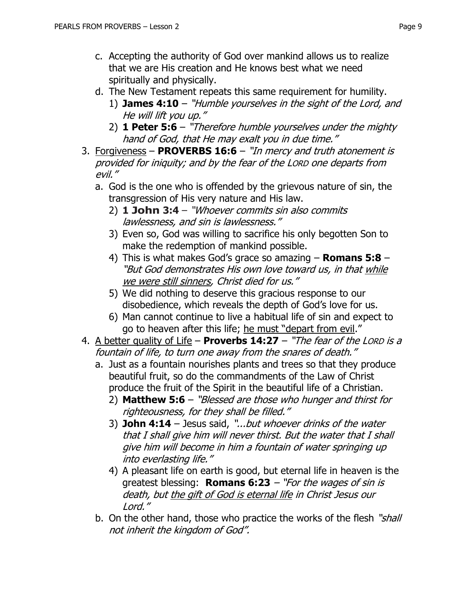- c. Accepting the authority of God over mankind allows us to realize that we are His creation and He knows best what we need spiritually and physically.
- d. The New Testament repeats this same requirement for humility.
	- 1) **[James 4:10](https://www.biblegateway.com/passage/?search=James+4:10&version=NKJV)** "Humble yourselves in the sight of the Lord, and He will lift you up."
	- 2) **[1 Peter 5:6](https://www.biblegateway.com/passage/?search=1%20Peter+5:6&version=NKJV)** "Therefore humble yourselves under the mighty hand of God, that He may exalt you in due time."
- 3. Forgiveness **PROVERBS 16:6** "In mercy and truth atonement is provided for iniquity; and by the fear of the LORD one departs from evil."
	- a. God is the one who is offended by the grievous nature of sin, the transgression of His very nature and His law.
		- 2) **1 John 3:4** "Whoever commits sin also commits lawlessness, and sin is lawlessness."
		- 3) Even so, God was willing to sacrifice his only begotten Son to make the redemption of mankind possible.
		- 4) This is what makes God's grace so amazing **Romans 5:8** "But God demonstrates His own love toward us, in that while we were still sinners, Christ died for us."
		- 5) We did nothing to deserve this gracious response to our disobedience, which reveals the depth of God's love for us.
		- 6) Man cannot continue to live a habitual life of sin and expect to go to heaven after this life; he must "depart from evil."
- 4. A better quality of Life **Proverbs 14:27** "The fear of the LORD is <sup>a</sup> fountain of life, to turn one away from the snares of death."
	- a. Just as a fountain nourishes plants and trees so that they produce beautiful fruit, so do the commandments of the Law of Christ produce the fruit of the Spirit in the beautiful life of a Christian.
		- 2) **Matthew 5:6** "Blessed are those who hunger and thirst for righteousness, for they shall be filled."
		- 3) **John 4:14** Jesus said, "...but whoever drinks of the water that I shall give him will never thirst. But the water that I shall give him will become in him a fountain of water springing up into everlasting life."
		- 4) A pleasant life on earth is good, but eternal life in heaven is the greatest blessing: **[Romans 6:23](https://www.biblegateway.com/passage/?search=Romans+6:23&version=NKJV)** – "For the wages of sin is death, but the gift of God is eternal life in Christ Jesus our Lord."
	- b. On the other hand, those who practice the works of the flesh "shall not inherit the kingdom of God".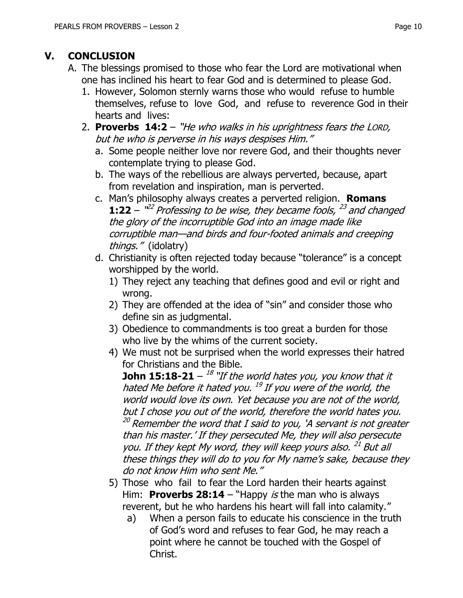# **V. CONCLUSION**

- A. The blessings promised to those who fear the Lord are motivational when one has inclined his heart to fear God and is determined to please God.
	- 1. However, Solomon sternly warns those who would refuse to humble themselves, refuse to love God, and refuse to reverence God in their hearts and lives:
	- 2. **Proverbs 14:2** "He who walks in his uprightness fears the LORD, but he who is perverse in his ways despises Him."
		- a. Some people neither love nor revere God, and their thoughts never contemplate trying to please God.
		- b. The ways of the rebellious are always perverted, because, apart from revelation and inspiration, man is perverted.
		- c. Man's philosophy always creates a perverted religion. **Romans 1:22** –  $^{\prime\prime\prime\prime}$  Professing to be wise, they became fools,  $^{23}$  and changed the glory of the incorruptible God into an image made like corruptible man—and birds and four-footed animals and creeping things." (idolatry)
		- d. Christianity is often rejected today because "tolerance" is a concept worshipped by the world.
			- 1) They reject any teaching that defines good and evil or right and wrong.
			- 2) They are offended at the idea of "sin" and consider those who define sin as judgmental.
			- 3) Obedience to commandments is too great a burden for those who live by the whims of the current society.
			- 4) We must not be surprised when the world expresses their hatred for Christians and the Bible.

**John 15:18-21** –  $^{18}$  "If the world hates you, you know that it hated Me before it hated you. <sup>19</sup> If you were of the world, the world would love its own. Yet because you are not of the world, but I chose you out of the world, therefore the world hates you.  $^{20}$  Remember the word that I said to you, 'A servant is not greater than his master.' If they persecuted Me, they will also persecute you. If they kept My word, they will keep yours also.<sup>21</sup> But all these things they will do to you for My name's sake, because they do not know Him who sent Me."

- 5) Those who fail to fear the Lord harden their hearts against Him: **Proverbs 28:14** – "Happy *is* the man who is always reverent, but he who hardens his heart will fall into calamity."
	- a) When a person fails to educate his conscience in the truth of God's word and refuses to fear God, he may reach a point where he cannot be touched with the Gospel of Christ.